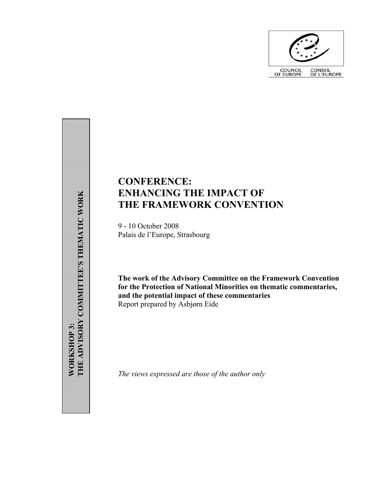

# **CONFERENCE: ENHANCING THE IMPACT OF THE FRAMEWORK CONVENTION**

9 - 10 October 2008 Palais de l'Europe, Strasbourg

**The work of the Advisory Committee on the Framework Convention for the Protection of National Minorities on thematic commentaries, and the potential impact of these commentaries**  Report prepared by Asbjørn Eide

*The views expressed are those of the author only* 

 **THEMATIC WORK** THE ADVISORY COMMITTEE'S THEMATIC WORK **THE ADVISORY COMMITTEE'S WORKSHOP 3: WORKSHOP 3:**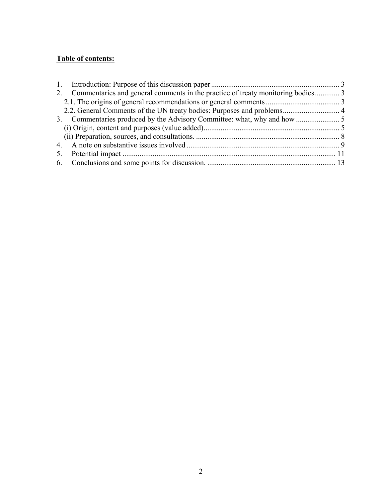## **Table of contents:**

| 2. Commentaries and general comments in the practice of treaty monitoring bodies 3 |  |
|------------------------------------------------------------------------------------|--|
|                                                                                    |  |
|                                                                                    |  |
|                                                                                    |  |
|                                                                                    |  |
|                                                                                    |  |
|                                                                                    |  |
|                                                                                    |  |
|                                                                                    |  |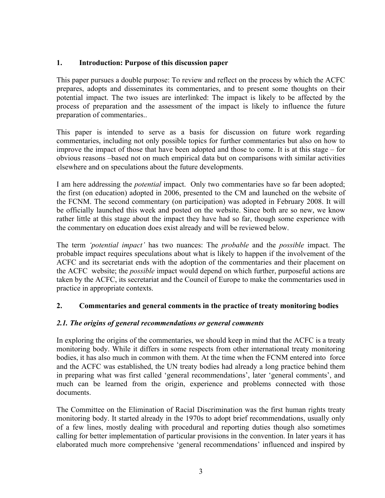## **1. Introduction: Purpose of this discussion paper**

This paper pursues a double purpose: To review and reflect on the process by which the ACFC prepares, adopts and disseminates its commentaries, and to present some thoughts on their potential impact. The two issues are interlinked: The impact is likely to be affected by the process of preparation and the assessment of the impact is likely to influence the future preparation of commentaries..

This paper is intended to serve as a basis for discussion on future work regarding commentaries, including not only possible topics for further commentaries but also on how to improve the impact of those that have been adopted and those to come. It is at this stage – for obvious reasons –based not on much empirical data but on comparisons with similar activities elsewhere and on speculations about the future developments.

I am here addressing the *potential* impact. Only two commentaries have so far been adopted; the first (on education) adopted in 2006, presented to the CM and launched on the website of the FCNM. The second commentary (on participation) was adopted in February 2008. It will be officially launched this week and posted on the website. Since both are so new, we know rather little at this stage about the impact they have had so far, though some experience with the commentary on education does exist already and will be reviewed below.

The term *'potential impact'* has two nuances: The *probable* and the *possible* impact. The probable impact requires speculations about what is likely to happen if the involvement of the ACFC and its secretariat ends with the adoption of the commentaries and their placement on the ACFC website; the *possible* impact would depend on which further, purposeful actions are taken by the ACFC, its secretariat and the Council of Europe to make the commentaries used in practice in appropriate contexts.

## **2. Commentaries and general comments in the practice of treaty monitoring bodies**

## *2.1. The origins of general recommendations or general comments*

In exploring the origins of the commentaries, we should keep in mind that the ACFC is a treaty monitoring body. While it differs in some respects from other international treaty monitoring bodies, it has also much in common with them. At the time when the FCNM entered into force and the ACFC was established, the UN treaty bodies had already a long practice behind them in preparing what was first called 'general recommendations', later 'general comments', and much can be learned from the origin, experience and problems connected with those documents.

The Committee on the Elimination of Racial Discrimination was the first human rights treaty monitoring body. It started already in the 1970s to adopt brief recommendations, usually only of a few lines, mostly dealing with procedural and reporting duties though also sometimes calling for better implementation of particular provisions in the convention. In later years it has elaborated much more comprehensive 'general recommendations' influenced and inspired by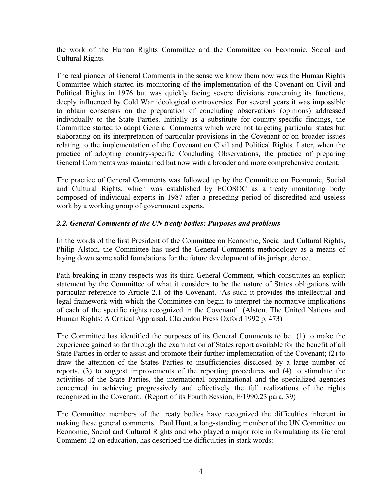the work of the Human Rights Committee and the Committee on Economic, Social and Cultural Rights.

The real pioneer of General Comments in the sense we know them now was the Human Rights Committee which started its monitoring of the implementation of the Covenant on Civil and Political Rights in 1976 but was quickly facing severe divisions concerning its functions, deeply influenced by Cold War ideological controversies. For several years it was impossible to obtain consensus on the preparation of concluding observations (opinions) addressed individually to the State Parties. Initially as a substitute for country-specific findings, the Committee started to adopt General Comments which were not targeting particular states but elaborating on its interpretation of particular provisions in the Covenant or on broader issues relating to the implementation of the Covenant on Civil and Political Rights. Later, when the practice of adopting country-specific Concluding Observations, the practice of preparing General Comments was maintained but now with a broader and more comprehensive content.

The practice of General Comments was followed up by the Committee on Economic, Social and Cultural Rights, which was established by ECOSOC as a treaty monitoring body composed of individual experts in 1987 after a preceding period of discredited and useless work by a working group of government experts.

#### *2.2. General Comments of the UN treaty bodies: Purposes and problems*

In the words of the first President of the Committee on Economic, Social and Cultural Rights, Philip Alston, the Committee has used the General Comments methodology as a means of laying down some solid foundations for the future development of its jurisprudence.

Path breaking in many respects was its third General Comment, which constitutes an explicit statement by the Committee of what it considers to be the nature of States obligations with particular reference to Article 2.1 of the Covenant. 'As such it provides the intellectual and legal framework with which the Committee can begin to interpret the normative implications of each of the specific rights recognized in the Covenant'. (Alston. The United Nations and Human Rights: A Critical Appraisal, Clarendon Press Oxford 1992 p. 473)

The Committee has identified the purposes of its General Comments to be (1) to make the experience gained so far through the examination of States report available for the benefit of all State Parties in order to assist and promote their further implementation of the Covenant; (2) to draw the attention of the States Parties to insufficiencies disclosed by a large number of reports, (3) to suggest improvements of the reporting procedures and (4) to stimulate the activities of the State Parties, the international organizational and the specialized agencies concerned in achieving progressively and effectively the full realizations of the rights recognized in the Covenant. (Report of its Fourth Session, E/1990,23 para, 39)

The Committee members of the treaty bodies have recognized the difficulties inherent in making these general comments. Paul Hunt, a long-standing member of the UN Committee on Economic, Social and Cultural Rights and who played a major role in formulating its General Comment 12 on education, has described the difficulties in stark words: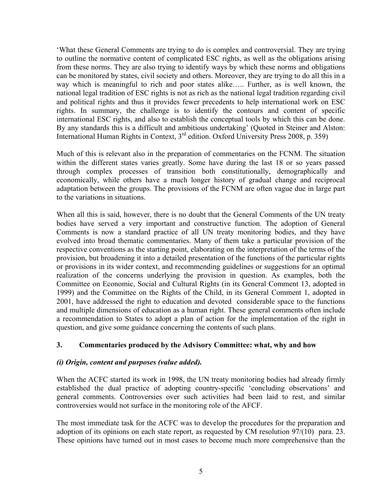'What these General Comments are trying to do is complex and controversial. They are trying to outline the normative content of complicated ESC rights, as well as the obligations arising from these norms. They are also trying to identify ways by which these norms and obligations can be monitored by states, civil society and others. Moreover, they are trying to do all this in a way which is meaningful to rich and poor states alike..... Further, as is well known, the national legal tradition of ESC rights is not as rich as the national legal tradition regarding civil and political rights and thus it provides fewer precedents to help international work on ESC rights. In summary, the challenge is to identify the contours and content of specific international ESC rights, and also to establish the conceptual tools by which this can be done. By any standards this is a difficult and ambitious undertaking' (Quoted in Steiner and Alston: International Human Rights in Context, 3<sup>rd</sup> edition. Oxford University Press 2008, p. 359)

Much of this is relevant also in the preparation of commentaries on the FCNM. The situation within the different states varies greatly. Some have during the last 18 or so years passed through complex processes of transition both constitutionally, demographically and economically, while others have a much longer history of gradual change and reciprocal adaptation between the groups. The provisions of the FCNM are often vague due in large part to the variations in situations.

When all this is said, however, there is no doubt that the General Comments of the UN treaty bodies have served a very important and constructive function. The adoption of General Comments is now a standard practice of all UN treaty monitoring bodies, and they have evolved into broad thematic commentaries. Many of them take a particular provision of the respective conventions as the starting point, elaborating on the interpretation of the terms of the provision, but broadening it into a detailed presentation of the functions of the particular rights or provisions in its wider context, and recommending guidelines or suggestions for an optimal realization of the concerns underlying the provision in question. As examples, both the Committee on Economic, Social and Cultural Rights (in its General Comment 13, adopted in 1999) and the Committee on the Rights of the Child, in its General Comment 1, adopted in 2001, have addressed the right to education and devoted considerable space to the functions and multiple dimensions of education as a human right. These general comments often include a recommendation to States to adopt a plan of action for the implementation of the right in question, and give some guidance concerning the contents of such plans.

## **3. Commentaries produced by the Advisory Committee: what, why and how**

## *(i) Origin, content and purposes (value added).*

When the ACFC started its work in 1998, the UN treaty monitoring bodies had already firmly established the dual practice of adopting country-specific 'concluding observations' and general comments. Controversies over such activities had been laid to rest, and similar controversies would not surface in the monitoring role of the AFCF.

The most immediate task for the ACFC was to develop the procedures for the preparation and adoption of its opinions on each state report, as requested by CM resolution 97/(10) para. 23. These opinions have turned out in most cases to become much more comprehensive than the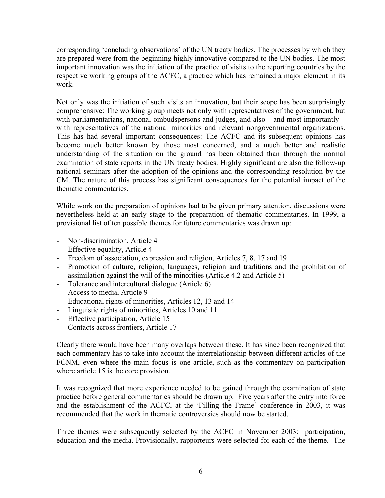corresponding 'concluding observations' of the UN treaty bodies. The processes by which they are prepared were from the beginning highly innovative compared to the UN bodies. The most important innovation was the initiation of the practice of visits to the reporting countries by the respective working groups of the ACFC, a practice which has remained a major element in its work.

Not only was the initiation of such visits an innovation, but their scope has been surprisingly comprehensive: The working group meets not only with representatives of the government, but with parliamentarians, national ombudspersons and judges, and also – and most importantly – with representatives of the national minorities and relevant nongovernmental organizations. This has had several important consequences: The ACFC and its subsequent opinions has become much better known by those most concerned, and a much better and realistic understanding of the situation on the ground has been obtained than through the normal examination of state reports in the UN treaty bodies. Highly significant are also the follow-up national seminars after the adoption of the opinions and the corresponding resolution by the CM. The nature of this process has significant consequences for the potential impact of the thematic commentaries.

While work on the preparation of opinions had to be given primary attention, discussions were nevertheless held at an early stage to the preparation of thematic commentaries. In 1999, a provisional list of ten possible themes for future commentaries was drawn up:

- Non-discrimination, Article 4
- Effective equality, Article 4
- Freedom of association, expression and religion, Articles 7, 8, 17 and 19
- Promotion of culture, religion, languages, religion and traditions and the prohibition of assimilation against the will of the minorities (Article 4.2 and Article 5)
- Tolerance and intercultural dialogue (Article 6)
- Access to media, Article 9
- Educational rights of minorities, Articles 12, 13 and 14
- Linguistic rights of minorities, Articles 10 and 11
- Effective participation, Article 15
- Contacts across frontiers, Article 17

Clearly there would have been many overlaps between these. It has since been recognized that each commentary has to take into account the interrelationship between different articles of the FCNM, even where the main focus is one article, such as the commentary on participation where article 15 is the core provision.

It was recognized that more experience needed to be gained through the examination of state practice before general commentaries should be drawn up. Five years after the entry into force and the establishment of the ACFC, at the 'Filling the Frame' conference in 2003, it was recommended that the work in thematic controversies should now be started.

Three themes were subsequently selected by the ACFC in November 2003: participation, education and the media. Provisionally, rapporteurs were selected for each of the theme. The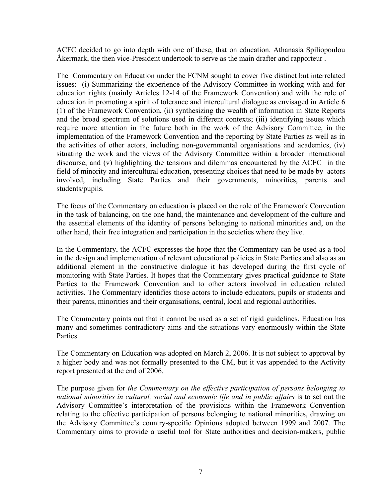ACFC decided to go into depth with one of these, that on education. Athanasia Spiliopoulou Åkermark, the then vice-President undertook to serve as the main drafter and rapporteur .

The Commentary on Education under the FCNM sought to cover five distinct but interrelated issues: (i) Summarizing the experience of the Advisory Committee in working with and for education rights (mainly Articles 12-14 of the Framework Convention) and with the role of education in promoting a spirit of tolerance and intercultural dialogue as envisaged in Article 6 (1) of the Framework Convention, (ii) synthesizing the wealth of information in State Reports and the broad spectrum of solutions used in different contexts; (iii) identifying issues which require more attention in the future both in the work of the Advisory Committee, in the implementation of the Framework Convention and the reporting by State Parties as well as in the activities of other actors, including non-governmental organisations and academics, (iv) situating the work and the views of the Advisory Committee within a broader international discourse, and (v) highlighting the tensions and dilemmas encountered by the ACFC in the field of minority and intercultural education, presenting choices that need to be made by actors involved, including State Parties and their governments, minorities, parents and students/pupils.

The focus of the Commentary on education is placed on the role of the Framework Convention in the task of balancing, on the one hand, the maintenance and development of the culture and the essential elements of the identity of persons belonging to national minorities and, on the other hand, their free integration and participation in the societies where they live.

In the Commentary, the ACFC expresses the hope that the Commentary can be used as a tool in the design and implementation of relevant educational policies in State Parties and also as an additional element in the constructive dialogue it has developed during the first cycle of monitoring with State Parties. It hopes that the Commentary gives practical guidance to State Parties to the Framework Convention and to other actors involved in education related activities. The Commentary identifies those actors to include educators, pupils or students and their parents, minorities and their organisations, central, local and regional authorities.

The Commentary points out that it cannot be used as a set of rigid guidelines. Education has many and sometimes contradictory aims and the situations vary enormously within the State Parties.

The Commentary on Education was adopted on March 2, 2006. It is not subject to approval by a higher body and was not formally presented to the CM, but it vas appended to the Activity report presented at the end of 2006.

The purpose given for *the Commentary on the effective participation of persons belonging to*  national minorities in cultural, social and economic life and in public affairs is to set out the Advisory Committee's interpretation of the provisions within the Framework Convention relating to the effective participation of persons belonging to national minorities, drawing on the Advisory Committee's country-specific Opinions adopted between 1999 and 2007. The Commentary aims to provide a useful tool for State authorities and decision-makers, public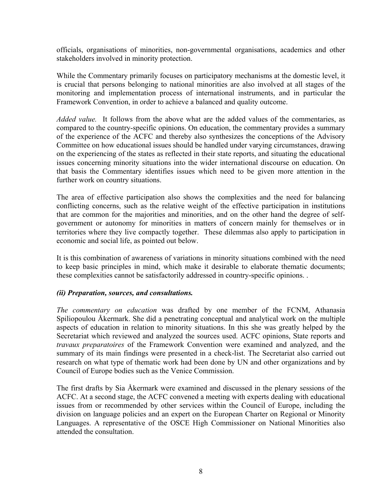officials, organisations of minorities, non-governmental organisations, academics and other stakeholders involved in minority protection.

While the Commentary primarily focuses on participatory mechanisms at the domestic level, it is crucial that persons belonging to national minorities are also involved at all stages of the monitoring and implementation process of international instruments, and in particular the Framework Convention, in order to achieve a balanced and quality outcome.

*Added value.* It follows from the above what are the added values of the commentaries, as compared to the country-specific opinions. On education, the commentary provides a summary of the experience of the ACFC and thereby also synthesizes the conceptions of the Advisory Committee on how educational issues should be handled under varying circumstances, drawing on the experiencing of the states as reflected in their state reports, and situating the educational issues concerning minority situations into the wider international discourse on education. On that basis the Commentary identifies issues which need to be given more attention in the further work on country situations.

The area of effective participation also shows the complexities and the need for balancing conflicting concerns, such as the relative weight of the effective participation in institutions that are common for the majorities and minorities, and on the other hand the degree of selfgovernment or autonomy for minorities in matters of concern mainly for themselves or in territories where they live compactly together. These dilemmas also apply to participation in economic and social life, as pointed out below.

It is this combination of awareness of variations in minority situations combined with the need to keep basic principles in mind, which make it desirable to elaborate thematic documents; these complexities cannot be satisfactorily addressed in country-specific opinions. .

#### *(ii) Preparation, sources, and consultations.*

*The commentary on education* was drafted by one member of the FCNM, Athanasia Spiliopoulou Åkermark. She did a penetrating conceptual and analytical work on the multiple aspects of education in relation to minority situations. In this she was greatly helped by the Secretariat which reviewed and analyzed the sources used. ACFC opinions, State reports and *travaux preparatoires* of the Framework Convention were examined and analyzed, and the summary of its main findings were presented in a check-list. The Secretariat also carried out research on what type of thematic work had been done by UN and other organizations and by Council of Europe bodies such as the Venice Commission.

The first drafts by Sia Åkermark were examined and discussed in the plenary sessions of the ACFC. At a second stage, the ACFC convened a meeting with experts dealing with educational issues from or recommended by other services within the Council of Europe, including the division on language policies and an expert on the European Charter on Regional or Minority Languages. A representative of the OSCE High Commissioner on National Minorities also attended the consultation.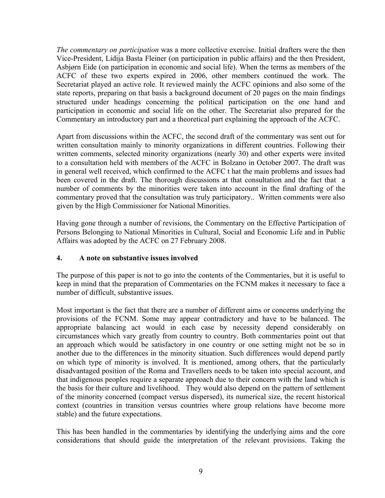*The commentary on participation* was a more collective exercise. Initial drafters were the then Vice-President, Lidija Basta Fleiner (on participation in public affairs) and the then President, Asbjørn Eide (on participation in economic and social life). When the terms as members of the ACFC of these two experts expired in 2006, other members continued the work. The Secretariat played an active role. It reviewed mainly the ACFC opinions and also some of the state reports, preparing on that basis a background document of 20 pages on the main findings structured under headings concerning the political participation on the one hand and participation in economic and social life on the other. The Secretariat also prepared for the Commentary an introductory part and a theoretical part explaining the approach of the ACFC.

Apart from discussions within the ACFC, the second draft of the commentary was sent out for written consultation mainly to minority organizations in different countries. Following their written comments, selected minority organizations (nearly 30) and other experts were invited to a consultation held with members of the ACFC in Bolzano in October 2007. The draft was in general well received, which confirmed to the ACFC t hat the main problems and issues had been covered in the draft. The thorough discussions at that consultation and the fact that a number of comments by the minorities were taken into account in the final drafting of the commentary proved that the consultation was truly participatory.. Written comments were also given by the High Commissioner for National Minorities.

Having gone through a number of revisions, the Commentary on the Effective Participation of Persons Belonging to National Minorities in Cultural, Social and Economic Life and in Public Affairs was adopted by the ACFC on 27 February 2008.

## **4. A note on substantive issues involved**

The purpose of this paper is not to go into the contents of the Commentaries, but it is useful to keep in mind that the preparation of Commentaries on the FCNM makes it necessary to face a number of difficult, substantive issues.

Most important is the fact that there are a number of different aims or concerns underlying the provisions of the FCNM. Some may appear contradictory and have to be balanced. The appropriate balancing act would in each case by necessity depend considerably on circumstances which vary greatly from country to country. Both commentaries point out that an approach which would be satisfactory in one country or one setting might not be so in another due to the differences in the minority situation. Such differences would depend partly on which type of minority is involved. It is mentioned, among others, that the particularly disadvantaged position of the Roma and Travellers needs to be taken into special account, and that indigenous peoples require a separate approach due to their concern with the land which is the basis for their culture and livelihood. They would also depend on the pattern of settlement of the minority concerned (compact versus dispersed), its numerical size, the recent historical context (countries in transition versus countries where group relations have become more stable) and the future expectations.

This has been handled in the commentaries by identifying the underlying aims and the core considerations that should guide the interpretation of the relevant provisions. Taking the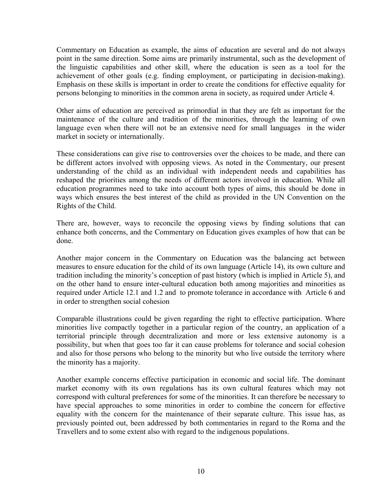Commentary on Education as example, the aims of education are several and do not always point in the same direction. Some aims are primarily instrumental, such as the development of the linguistic capabilities and other skill, where the education is seen as a tool for the achievement of other goals (e.g. finding employment, or participating in decision-making). Emphasis on these skills is important in order to create the conditions for effective equality for persons belonging to minorities in the common arena in society, as required under Article 4.

Other aims of education are perceived as primordial in that they are felt as important for the maintenance of the culture and tradition of the minorities, through the learning of own language even when there will not be an extensive need for small languages in the wider market in society or internationally.

These considerations can give rise to controversies over the choices to be made, and there can be different actors involved with opposing views. As noted in the Commentary, our present understanding of the child as an individual with independent needs and capabilities has reshaped the priorities among the needs of different actors involved in education. While all education programmes need to take into account both types of aims, this should be done in ways which ensures the best interest of the child as provided in the UN Convention on the Rights of the Child.

There are, however, ways to reconcile the opposing views by finding solutions that can enhance both concerns, and the Commentary on Education gives examples of how that can be done.

Another major concern in the Commentary on Education was the balancing act between measures to ensure education for the child of its own language (Article 14), its own culture and tradition including the minority's conception of past history (which is implied in Article 5), and on the other hand to ensure inter-cultural education both among majorities and minorities as required under Article 12.1 and 1.2 and to promote tolerance in accordance with Article 6 and in order to strengthen social cohesion

Comparable illustrations could be given regarding the right to effective participation. Where minorities live compactly together in a particular region of the country, an application of a territorial principle through decentralization and more or less extensive autonomy is a possibility, but when that goes too far it can cause problems for tolerance and social cohesion and also for those persons who belong to the minority but who live outside the territory where the minority has a majority.

Another example concerns effective participation in economic and social life. The dominant market economy with its own regulations has its own cultural features which may not correspond with cultural preferences for some of the minorities. It can therefore be necessary to have special approaches to some minorities in order to combine the concern for effective equality with the concern for the maintenance of their separate culture. This issue has, as previously pointed out, been addressed by both commentaries in regard to the Roma and the Travellers and to some extent also with regard to the indigenous populations.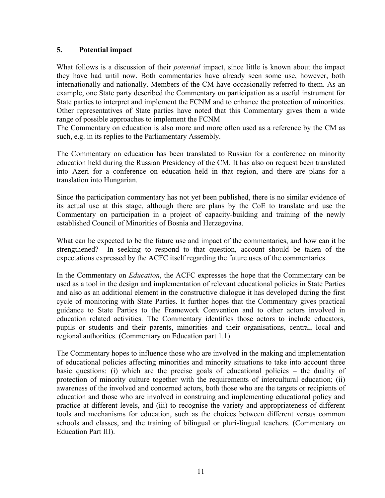#### **5. Potential impact**

What follows is a discussion of their *potential* impact, since little is known about the impact they have had until now. Both commentaries have already seen some use, however, both internationally and nationally. Members of the CM have occasionally referred to them. As an example, one State party described the Commentary on participation as a useful instrument for State parties to interpret and implement the FCNM and to enhance the protection of minorities. Other representatives of State parties have noted that this Commentary gives them a wide range of possible approaches to implement the FCNM

The Commentary on education is also more and more often used as a reference by the CM as such, e.g. in its replies to the Parliamentary Assembly.

The Commentary on education has been translated to Russian for a conference on minority education held during the Russian Presidency of the CM. It has also on request been translated into Azeri for a conference on education held in that region, and there are plans for a translation into Hungarian.

Since the participation commentary has not yet been published, there is no similar evidence of its actual use at this stage, although there are plans by the CoE to translate and use the Commentary on participation in a project of capacity-building and training of the newly established Council of Minorities of Bosnia and Herzegovina.

What can be expected to be the future use and impact of the commentaries, and how can it be strengthened? In seeking to respond to that question, account should be taken of the expectations expressed by the ACFC itself regarding the future uses of the commentaries.

In the Commentary on *Education*, the ACFC expresses the hope that the Commentary can be used as a tool in the design and implementation of relevant educational policies in State Parties and also as an additional element in the constructive dialogue it has developed during the first cycle of monitoring with State Parties. It further hopes that the Commentary gives practical guidance to State Parties to the Framework Convention and to other actors involved in education related activities. The Commentary identifies those actors to include educators, pupils or students and their parents, minorities and their organisations, central, local and regional authorities. (Commentary on Education part 1.1)

The Commentary hopes to influence those who are involved in the making and implementation of educational policies affecting minorities and minority situations to take into account three basic questions: (i) which are the precise goals of educational policies – the duality of protection of minority culture together with the requirements of intercultural education; (ii) awareness of the involved and concerned actors, both those who are the targets or recipients of education and those who are involved in construing and implementing educational policy and practice at different levels, and (iii) to recognise the variety and appropriateness of different tools and mechanisms for education, such as the choices between different versus common schools and classes, and the training of bilingual or pluri-lingual teachers. (Commentary on Education Part III).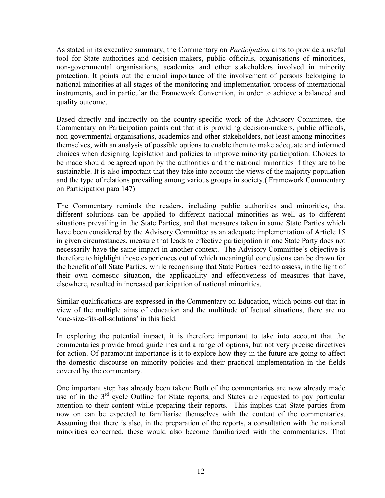As stated in its executive summary, the Commentary on *Participation* aims to provide a useful tool for State authorities and decision-makers, public officials, organisations of minorities, non-governmental organisations, academics and other stakeholders involved in minority protection. It points out the crucial importance of the involvement of persons belonging to national minorities at all stages of the monitoring and implementation process of international instruments, and in particular the Framework Convention, in order to achieve a balanced and quality outcome.

Based directly and indirectly on the country-specific work of the Advisory Committee, the Commentary on Participation points out that it is providing decision-makers, public officials, non-governmental organisations, academics and other stakeholders, not least among minorities themselves, with an analysis of possible options to enable them to make adequate and informed choices when designing legislation and policies to improve minority participation. Choices to be made should be agreed upon by the authorities and the national minorities if they are to be sustainable. It is also important that they take into account the views of the majority population and the type of relations prevailing among various groups in society.( Framework Commentary on Participation para 147)

The Commentary reminds the readers, including public authorities and minorities, that different solutions can be applied to different national minorities as well as to different situations prevailing in the State Parties, and that measures taken in some State Parties which have been considered by the Advisory Committee as an adequate implementation of Article 15 in given circumstances, measure that leads to effective participation in one State Party does not necessarily have the same impact in another context. The Advisory Committee's objective is therefore to highlight those experiences out of which meaningful conclusions can be drawn for the benefit of all State Parties, while recognising that State Parties need to assess, in the light of their own domestic situation, the applicability and effectiveness of measures that have, elsewhere, resulted in increased participation of national minorities.

Similar qualifications are expressed in the Commentary on Education, which points out that in view of the multiple aims of education and the multitude of factual situations, there are no 'one-size-fits-all-solutions' in this field.

In exploring the potential impact, it is therefore important to take into account that the commentaries provide broad guidelines and a range of options, but not very precise directives for action. Of paramount importance is it to explore how they in the future are going to affect the domestic discourse on minority policies and their practical implementation in the fields covered by the commentary.

One important step has already been taken: Both of the commentaries are now already made use of in the 3<sup>rd</sup> cycle Outline for State reports, and States are requested to pay particular attention to their content while preparing their reports. This implies that State parties from now on can be expected to familiarise themselves with the content of the commentaries. Assuming that there is also, in the preparation of the reports, a consultation with the national minorities concerned, these would also become familiarized with the commentaries. That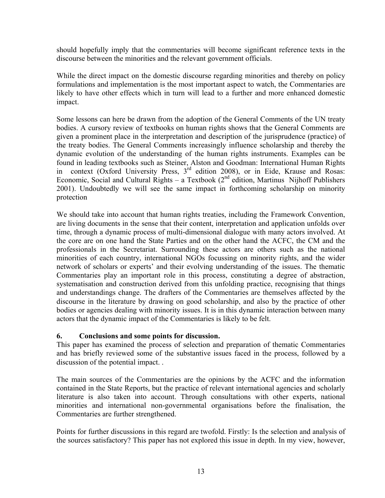should hopefully imply that the commentaries will become significant reference texts in the discourse between the minorities and the relevant government officials.

While the direct impact on the domestic discourse regarding minorities and thereby on policy formulations and implementation is the most important aspect to watch, the Commentaries are likely to have other effects which in turn will lead to a further and more enhanced domestic impact.

Some lessons can here be drawn from the adoption of the General Comments of the UN treaty bodies. A cursory review of textbooks on human rights shows that the General Comments are given a prominent place in the interpretation and description of the jurisprudence (practice) of the treaty bodies. The General Comments increasingly influence scholarship and thereby the dynamic evolution of the understanding of the human rights instruments. Examples can be found in leading textbooks such as Steiner, Alston and Goodman: International Human Rights in context (Oxford University Press, 3<sup>rd</sup> edition 2008), or in Eide, Krause and Rosas: Economic, Social and Cultural Rights – a Textbook ( $2<sup>nd</sup>$  edition, Martinus Nijhoff Publishers 2001). Undoubtedly we will see the same impact in forthcoming scholarship on minority protection

We should take into account that human rights treaties, including the Framework Convention, are living documents in the sense that their content, interpretation and application unfolds over time, through a dynamic process of multi-dimensional dialogue with many actors involved. At the core are on one hand the State Parties and on the other hand the ACFC, the CM and the professionals in the Secretariat. Surrounding these actors are others such as the national minorities of each country, international NGOs focussing on minority rights, and the wider network of scholars or experts' and their evolving understanding of the issues. The thematic Commentaries play an important role in this process, constituting a degree of abstraction, systematisation and construction derived from this unfolding practice, recognising that things and understandings change. The drafters of the Commentaries are themselves affected by the discourse in the literature by drawing on good scholarship, and also by the practice of other bodies or agencies dealing with minority issues. It is in this dynamic interaction between many actors that the dynamic impact of the Commentaries is likely to be felt.

#### **6. Conclusions and some points for discussion.**

This paper has examined the process of selection and preparation of thematic Commentaries and has briefly reviewed some of the substantive issues faced in the process, followed by a discussion of the potential impact. .

The main sources of the Commentaries are the opinions by the ACFC and the information contained in the State Reports, but the practice of relevant international agencies and scholarly literature is also taken into account. Through consultations with other experts, national minorities and international non-governmental organisations before the finalisation, the Commentaries are further strengthened.

Points for further discussions in this regard are twofold. Firstly: Is the selection and analysis of the sources satisfactory? This paper has not explored this issue in depth. In my view, however,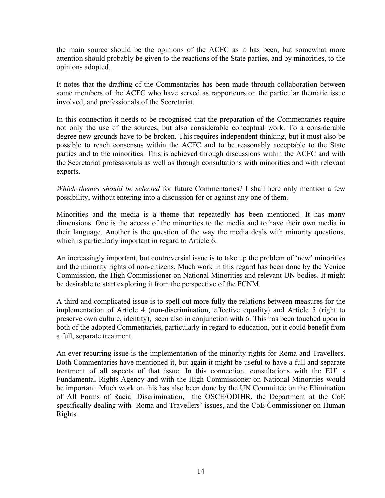the main source should be the opinions of the ACFC as it has been, but somewhat more attention should probably be given to the reactions of the State parties, and by minorities, to the opinions adopted.

It notes that the drafting of the Commentaries has been made through collaboration between some members of the ACFC who have served as rapporteurs on the particular thematic issue involved, and professionals of the Secretariat.

In this connection it needs to be recognised that the preparation of the Commentaries require not only the use of the sources, but also considerable conceptual work. To a considerable degree new grounds have to be broken. This requires independent thinking, but it must also be possible to reach consensus within the ACFC and to be reasonably acceptable to the State parties and to the minorities. This is achieved through discussions within the ACFC and with the Secretariat professionals as well as through consultations with minorities and with relevant experts.

*Which themes should be selected* for future Commentaries? I shall here only mention a few possibility, without entering into a discussion for or against any one of them.

Minorities and the media is a theme that repeatedly has been mentioned. It has many dimensions. One is the access of the minorities to the media and to have their own media in their language. Another is the question of the way the media deals with minority questions, which is particularly important in regard to Article 6.

An increasingly important, but controversial issue is to take up the problem of 'new' minorities and the minority rights of non-citizens. Much work in this regard has been done by the Venice Commission, the High Commissioner on National Minorities and relevant UN bodies. It might be desirable to start exploring it from the perspective of the FCNM.

A third and complicated issue is to spell out more fully the relations between measures for the implementation of Article 4 (non-discrimination, effective equality) and Article 5 (right to preserve own culture, identity), seen also in conjunction with 6. This has been touched upon in both of the adopted Commentaries, particularly in regard to education, but it could benefit from a full, separate treatment

An ever recurring issue is the implementation of the minority rights for Roma and Travellers. Both Commentaries have mentioned it, but again it might be useful to have a full and separate treatment of all aspects of that issue. In this connection, consultations with the EU' s Fundamental Rights Agency and with the High Commissioner on National Minorities would be important. Much work on this has also been done by the UN Committee on the Elimination of All Forms of Racial Discrimination, the OSCE/ODIHR, the Department at the CoE specifically dealing with Roma and Travellers' issues, and the CoE Commissioner on Human Rights.